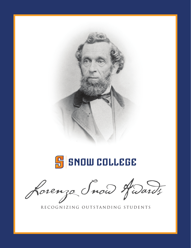



Lorenza Snow Hudards

RECOGNIZING OUTSTANDING STUDENTS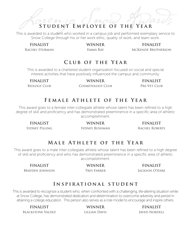# STUDENT EMPLOYEE OF THE YEAR

This is awarded to a student who worked in a campus job and performed exemplary service to Snow College through his or her work ethic, quality of work, and team work.

**FINALIST WINNER FINALIST** Rachel Sturman Emma Ray McKenzie Brotherson

#### **Club of the Year**

This is awarded to a chartered student organization focused on social and special interest activities that have positively influenced the campus and community.

**FINALIST WINNER FINALIST** BIOLOGY CLUB COSMETOLOGY CLUB PRE-VET CLUB

## **Female Athlete of the Year**

This award goes to a female inter-collegiate athlete whose talent has been refined to a high degree of skill and proficiency and has demonstrated preeminence in a specific area of athletic accomplishment.

**FINALIST WINNER FINALIST** SYDNEY PILLING SYDNEY BUSHMAN RACHEL ROBERTS

## **Male Athlete of the Year**

This award goes to a male inter-collegiate athlete whose talent has been refined to a high degree of skill and proficiency and who has demonstrated preeminence in a specific area of athletic accomplishment.

**FINALIST WINNER FINALIST**

Brayden Johnson Trey Farrer Jackson O'Hare

## **Inspirational student**

This is awarded to recognize a student who, when confronted with a challenging, life-altering situation while at Snow College, has demonstrated dedication and determination to overcome adversity and persist in attaining a college education. This person also serves as a role model to encourage and inspire others.

**FINALIST WINNER FINALIST** Blackstone Valdez Lillian Davis Javed Nordell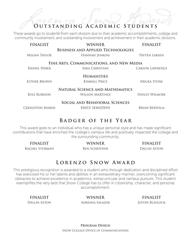# Lorenzo Snow Awards **Outstanding Academic Students**

These awards go to students from each division due to their academic accomplishments, college and community involvement, and outstanding involvement and achievement in their academic divisions.

| <b>FINALIST</b>                          | <b>WINNER</b>                                              | <b>FINALIST</b>       |
|------------------------------------------|------------------------------------------------------------|-----------------------|
| MEGAN TAYLOR                             | <b>BUSINESS AND APPLIED TECHNOLOGIES</b><br>HANNAH JENKINS | PAYTEN LARSEN         |
| FINE ARTS, COMMUNICATIONS, AND NEW MEDIA |                                                            |                       |
| DANIEL HEBER                             | SARA CHRISTIAN                                             | CARSON LAWRENCE       |
|                                          | <b>HUMANITIES</b>                                          |                       |
| <b>ESTHER BROWN</b>                      | <b>KIMBALL PRICE</b>                                       | ERICKA STONE          |
| NATURAL SCIENCE AND MATHEMATICS          |                                                            |                       |
| <b>KYLE ROBISON</b>                      | WILSON MARTINEZ                                            | <b>HAYLEY WILMORE</b> |
| SOCIAL AND BEHAVIORAL SCIENCES           |                                                            |                       |
| Creighton Marsh                          | EMILY SEMADENI                                             | <b>BRIAN BERTOLIA</b> |
|                                          |                                                            |                       |

#### **Badger of the Year**

This award goes to an individual who has a unique personal style and has made significant contributions that have enriched the college's campus life and positively impacted the college and the surrounding community.

RACHEL STURMAN BEN SCHEFFNER DALLIN ASTON

**FINALIST WINNER FINALIST**

## LORENZO SNOW AWARD

This prestigious recognition is awarded to a student who through dedication and disciplined effort has exercised his or her talents and abilities in an extraordinary manner, overcoming significant obstacles to achieve excellence in academics, extracurricular and campus pursuits. This student exemplifies the very best that Snow College has to offer in citizenship, character, and personal accomplishment.

**FINALIST WINNER FINALIST** Dallin Aston Adriana Salazar Justin Blaylock

**Program Design** Snow College Office of Communications